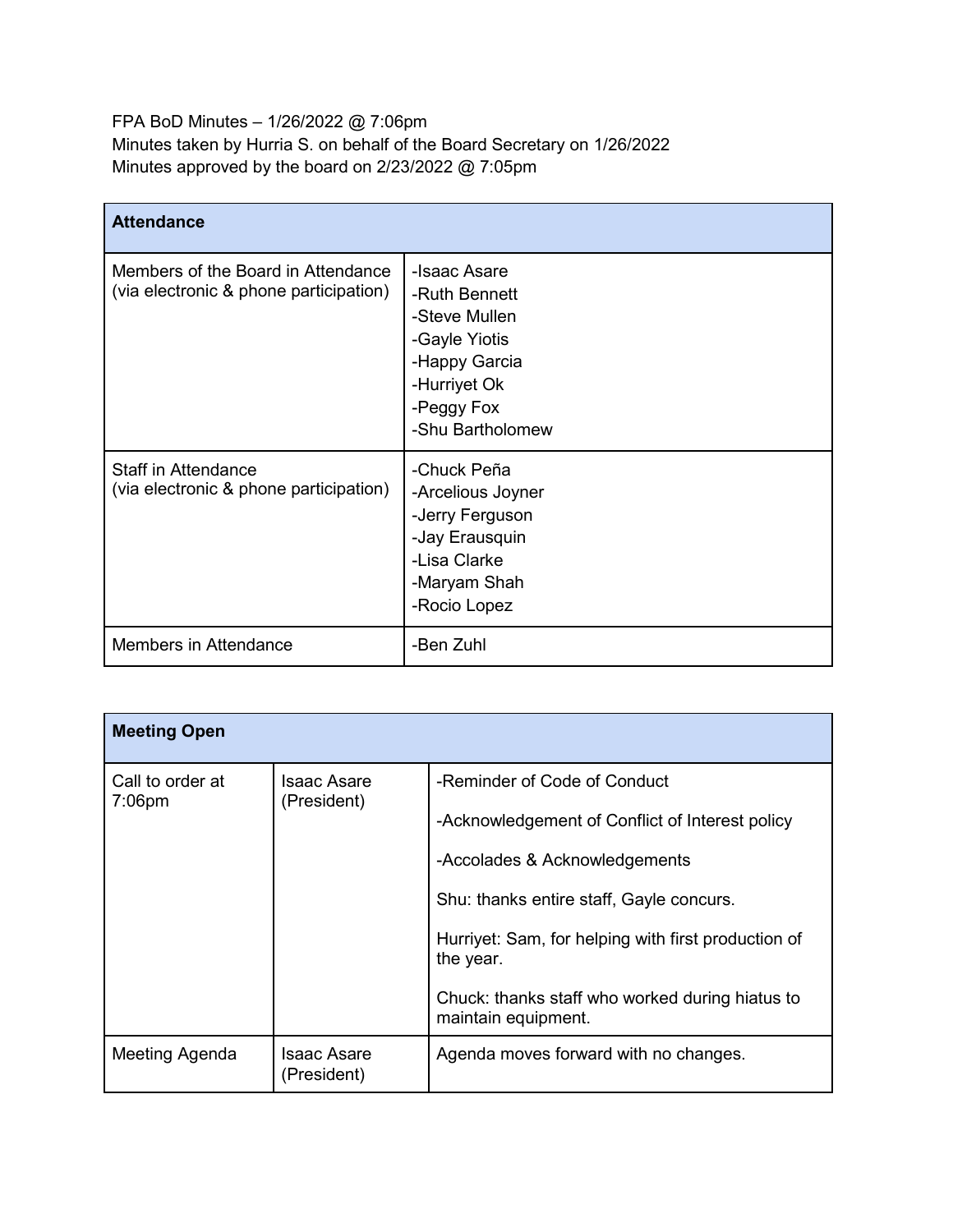FPA BoD Minutes – 1/26/2022 @ 7:06pm Minutes taken by Hurria S. on behalf of the Board Secretary on 1/26/2022 Minutes approved by the board on 2/23/2022 @ 7:05pm

| <b>Attendance</b>                                                            |                                                                                                                                    |  |
|------------------------------------------------------------------------------|------------------------------------------------------------------------------------------------------------------------------------|--|
| Members of the Board in Attendance<br>(via electronic & phone participation) | -Isaac Asare<br>-Ruth Bennett<br>-Steve Mullen<br>-Gayle Yiotis<br>-Happy Garcia<br>-Hurriyet Ok<br>-Peggy Fox<br>-Shu Bartholomew |  |
| Staff in Attendance<br>(via electronic & phone participation)                | -Chuck Peña<br>-Arcelious Joyner<br>-Jerry Ferguson<br>-Jay Erausquin<br>-Lisa Clarke<br>-Maryam Shah<br>-Rocio Lopez              |  |
| Members in Attendance                                                        | -Ben Zuhl                                                                                                                          |  |

| <b>Meeting Open</b>           |                                   |                                                                                                                                                                                                                                                                                                            |
|-------------------------------|-----------------------------------|------------------------------------------------------------------------------------------------------------------------------------------------------------------------------------------------------------------------------------------------------------------------------------------------------------|
| Call to order at<br>$7:06$ pm | <b>Isaac Asare</b><br>(President) | -Reminder of Code of Conduct<br>-Acknowledgement of Conflict of Interest policy<br>-Accolades & Acknowledgements<br>Shu: thanks entire staff, Gayle concurs.<br>Hurriyet: Sam, for helping with first production of<br>the year.<br>Chuck: thanks staff who worked during hiatus to<br>maintain equipment. |
| Meeting Agenda                | Isaac Asare<br>(President)        | Agenda moves forward with no changes.                                                                                                                                                                                                                                                                      |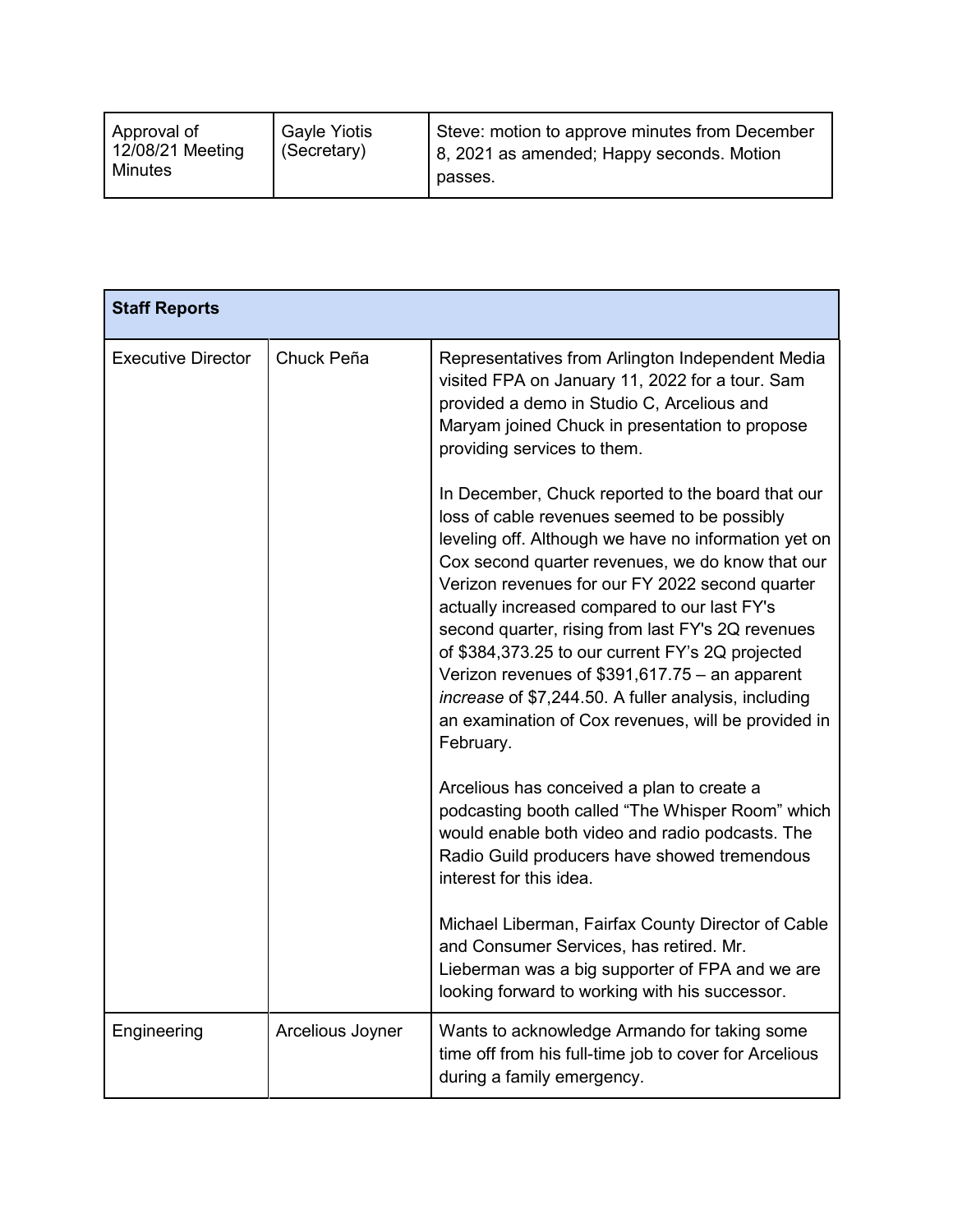| <b>Gayle Yiotis</b><br>Approval of<br>12/08/21 Meeting<br>(Secretary)<br>Minutes | Steve: motion to approve minutes from December<br>8, 2021 as amended; Happy seconds. Motion<br>passes. |
|----------------------------------------------------------------------------------|--------------------------------------------------------------------------------------------------------|
|----------------------------------------------------------------------------------|--------------------------------------------------------------------------------------------------------|

| <b>Staff Reports</b>      |                  |                                                                                                                                                                                                                                                                                                                                                                                                                                                                                                                                                                                                          |
|---------------------------|------------------|----------------------------------------------------------------------------------------------------------------------------------------------------------------------------------------------------------------------------------------------------------------------------------------------------------------------------------------------------------------------------------------------------------------------------------------------------------------------------------------------------------------------------------------------------------------------------------------------------------|
| <b>Executive Director</b> | Chuck Peña       | Representatives from Arlington Independent Media<br>visited FPA on January 11, 2022 for a tour. Sam<br>provided a demo in Studio C, Arcelious and<br>Maryam joined Chuck in presentation to propose<br>providing services to them.                                                                                                                                                                                                                                                                                                                                                                       |
|                           |                  | In December, Chuck reported to the board that our<br>loss of cable revenues seemed to be possibly<br>leveling off. Although we have no information yet on<br>Cox second quarter revenues, we do know that our<br>Verizon revenues for our FY 2022 second quarter<br>actually increased compared to our last FY's<br>second quarter, rising from last FY's 2Q revenues<br>of \$384,373.25 to our current FY's 2Q projected<br>Verizon revenues of $$391,617.75 - an apparent$<br>increase of \$7,244.50. A fuller analysis, including<br>an examination of Cox revenues, will be provided in<br>February. |
|                           |                  | Arcelious has conceived a plan to create a<br>podcasting booth called "The Whisper Room" which<br>would enable both video and radio podcasts. The<br>Radio Guild producers have showed tremendous<br>interest for this idea.                                                                                                                                                                                                                                                                                                                                                                             |
|                           |                  | Michael Liberman, Fairfax County Director of Cable<br>and Consumer Services, has retired. Mr.<br>Lieberman was a big supporter of FPA and we are<br>looking forward to working with his successor.                                                                                                                                                                                                                                                                                                                                                                                                       |
| Engineering               | Arcelious Joyner | Wants to acknowledge Armando for taking some<br>time off from his full-time job to cover for Arcelious<br>during a family emergency.                                                                                                                                                                                                                                                                                                                                                                                                                                                                     |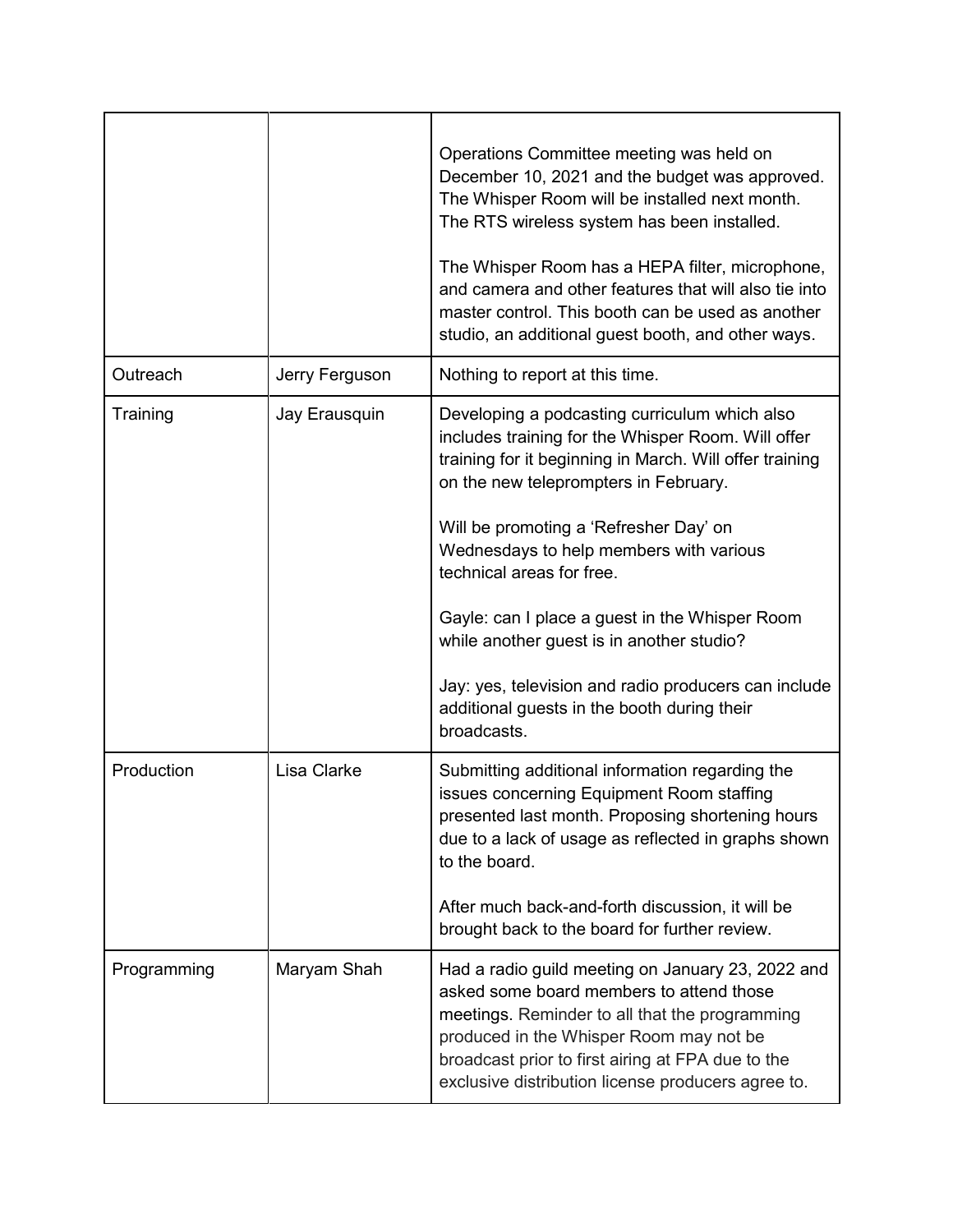|             |                | Operations Committee meeting was held on<br>December 10, 2021 and the budget was approved.<br>The Whisper Room will be installed next month.<br>The RTS wireless system has been installed.<br>The Whisper Room has a HEPA filter, microphone,                                                        |
|-------------|----------------|-------------------------------------------------------------------------------------------------------------------------------------------------------------------------------------------------------------------------------------------------------------------------------------------------------|
|             |                | and camera and other features that will also tie into<br>master control. This booth can be used as another<br>studio, an additional guest booth, and other ways.                                                                                                                                      |
| Outreach    | Jerry Ferguson | Nothing to report at this time.                                                                                                                                                                                                                                                                       |
| Training    | Jay Erausquin  | Developing a podcasting curriculum which also<br>includes training for the Whisper Room. Will offer<br>training for it beginning in March. Will offer training<br>on the new teleprompters in February.                                                                                               |
|             |                | Will be promoting a 'Refresher Day' on<br>Wednesdays to help members with various<br>technical areas for free.                                                                                                                                                                                        |
|             |                | Gayle: can I place a guest in the Whisper Room<br>while another guest is in another studio?                                                                                                                                                                                                           |
|             |                | Jay: yes, television and radio producers can include<br>additional guests in the booth during their<br>broadcasts.                                                                                                                                                                                    |
| Production  | Lisa Clarke    | Submitting additional information regarding the<br>issues concerning Equipment Room staffing<br>presented last month. Proposing shortening hours<br>due to a lack of usage as reflected in graphs shown<br>to the board.                                                                              |
|             |                | After much back-and-forth discussion, it will be<br>brought back to the board for further review.                                                                                                                                                                                                     |
| Programming | Maryam Shah    | Had a radio guild meeting on January 23, 2022 and<br>asked some board members to attend those<br>meetings. Reminder to all that the programming<br>produced in the Whisper Room may not be<br>broadcast prior to first airing at FPA due to the<br>exclusive distribution license producers agree to. |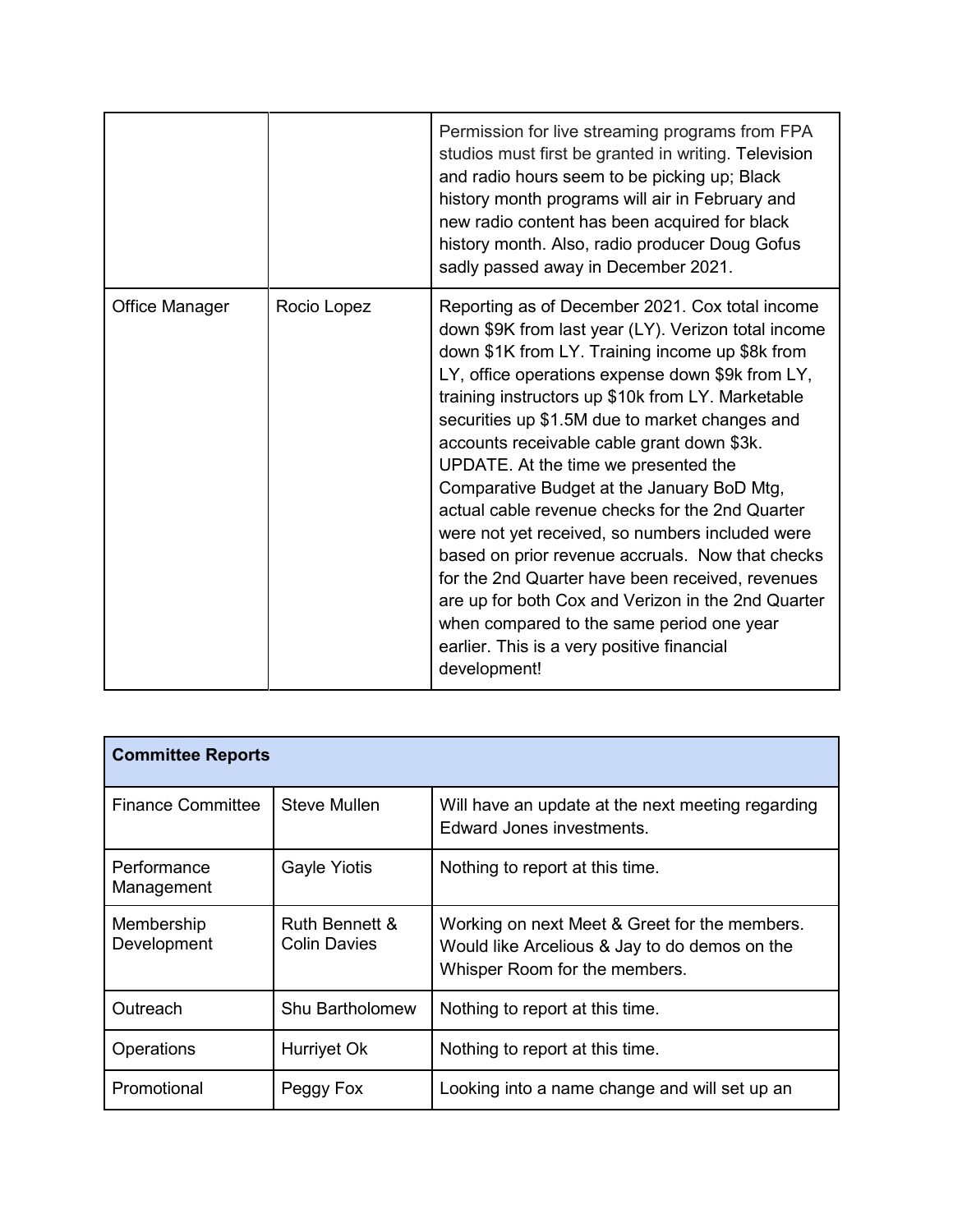|                       |             | Permission for live streaming programs from FPA<br>studios must first be granted in writing. Television<br>and radio hours seem to be picking up; Black<br>history month programs will air in February and<br>new radio content has been acquired for black<br>history month. Also, radio producer Doug Gofus<br>sadly passed away in December 2021.                                                                                                                                                                                                                                                                                                                                                                                                                                                                                    |
|-----------------------|-------------|-----------------------------------------------------------------------------------------------------------------------------------------------------------------------------------------------------------------------------------------------------------------------------------------------------------------------------------------------------------------------------------------------------------------------------------------------------------------------------------------------------------------------------------------------------------------------------------------------------------------------------------------------------------------------------------------------------------------------------------------------------------------------------------------------------------------------------------------|
| <b>Office Manager</b> | Rocio Lopez | Reporting as of December 2021. Cox total income<br>down \$9K from last year (LY). Verizon total income<br>down \$1K from LY. Training income up \$8k from<br>LY, office operations expense down \$9k from LY,<br>training instructors up \$10k from LY. Marketable<br>securities up \$1.5M due to market changes and<br>accounts receivable cable grant down \$3k.<br>UPDATE. At the time we presented the<br>Comparative Budget at the January BoD Mtg,<br>actual cable revenue checks for the 2nd Quarter<br>were not yet received, so numbers included were<br>based on prior revenue accruals. Now that checks<br>for the 2nd Quarter have been received, revenues<br>are up for both Cox and Verizon in the 2nd Quarter<br>when compared to the same period one year<br>earlier. This is a very positive financial<br>development! |

| <b>Committee Reports</b>  |                                       |                                                                                                                                 |
|---------------------------|---------------------------------------|---------------------------------------------------------------------------------------------------------------------------------|
| <b>Finance Committee</b>  | <b>Steve Mullen</b>                   | Will have an update at the next meeting regarding<br>Edward Jones investments.                                                  |
| Performance<br>Management | <b>Gayle Yiotis</b>                   | Nothing to report at this time.                                                                                                 |
| Membership<br>Development | Ruth Bennett &<br><b>Colin Davies</b> | Working on next Meet & Greet for the members.<br>Would like Arcelious & Jay to do demos on the<br>Whisper Room for the members. |
| Outreach                  | <b>Shu Bartholomew</b>                | Nothing to report at this time.                                                                                                 |
| Operations                | Hurriyet Ok                           | Nothing to report at this time.                                                                                                 |
| Promotional               | Peggy Fox                             | Looking into a name change and will set up an                                                                                   |